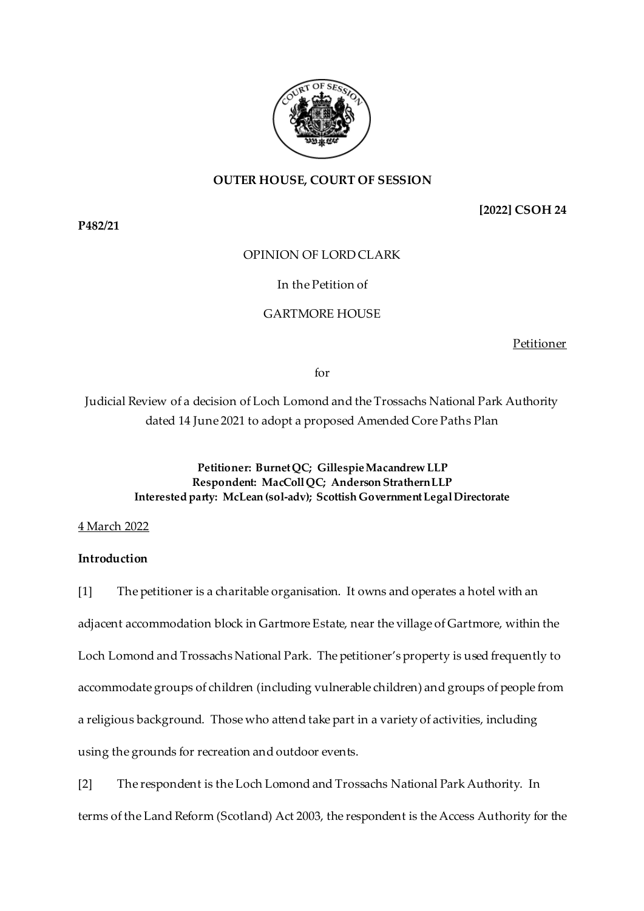

# **OUTER HOUSE, COURT OF SESSION**

**[2022] CSOH 24**

**P482/21**

# OPINION OF LORD CLARK

# In the Petition of

# GARTMORE HOUSE

Petitioner

for

Judicial Review of a decision of Loch Lomond and the Trossachs National Park Authority dated 14 June 2021 to adopt a proposed Amended Core Paths Plan

> **Petitioner: Burnet QC; Gillespie Macandrew LLP Respondent: MacColl QC; Anderson Strathern LLP Interested party: McLean (sol-adv); Scottish Government Legal Directorate**

4 March 2022

# **Introduction**

[1] The petitioner is a charitable organisation. It owns and operates a hotel with an adjacent accommodation block in Gartmore Estate, near the village of Gartmore, within the Loch Lomond and Trossachs National Park. The petitioner's property is used frequently to accommodate groups of children (including vulnerable children) and groups of people from a religious background. Those who attend take part in a variety of activities, including using the grounds for recreation and outdoor events.

[2] The respondent is the Loch Lomond and Trossachs National Park Authority. In terms of the Land Reform (Scotland) Act 2003, the respondent is the Access Authority for the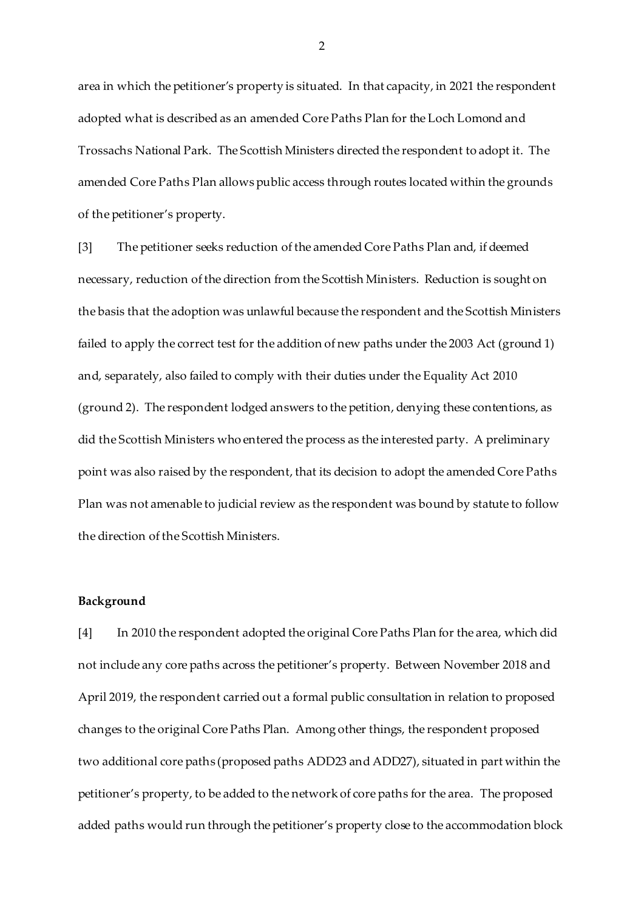area in which the petitioner's property is situated. In that capacity, in 2021 the respondent adopted what is described as an amended Core Paths Plan for the Loch Lomond and Trossachs National Park. The Scottish Ministers directed the respondent to adopt it. The amended Core Paths Plan allows public access through routes located within the grounds of the petitioner's property.

[3] The petitioner seeks reduction of the amended Core Paths Plan and, if deemed necessary, reduction of the direction from the Scottish Ministers. Reduction is sought on the basis that the adoption was unlawful because the respondent and the Scottish Ministers failed to apply the correct test for the addition of new paths under the 2003 Act (ground 1) and, separately, also failed to comply with their duties under the Equality Act 2010 (ground 2). The respondent lodged answers to the petition, denying these contentions, as did the Scottish Ministers who entered the process as the interested party. A preliminary point was also raised by the respondent, that its decision to adopt the amended Core Paths Plan was not amenable to judicial review as the respondent was bound by statute to follow the direction of the Scottish Ministers.

### **Background**

[4] In 2010 the respondent adopted the original Core Paths Plan for the area, which did not include any core paths across the petitioner's property. Between November 2018 and April 2019, the respondent carried out a formal public consultation in relation to proposed changes to the original Core Paths Plan. Among other things, the respondent proposed two additional core paths (proposed paths ADD23 and ADD27), situated in part within the petitioner's property, to be added to the network of core paths for the area. The proposed added paths would run through the petitioner's property close to the accommodation block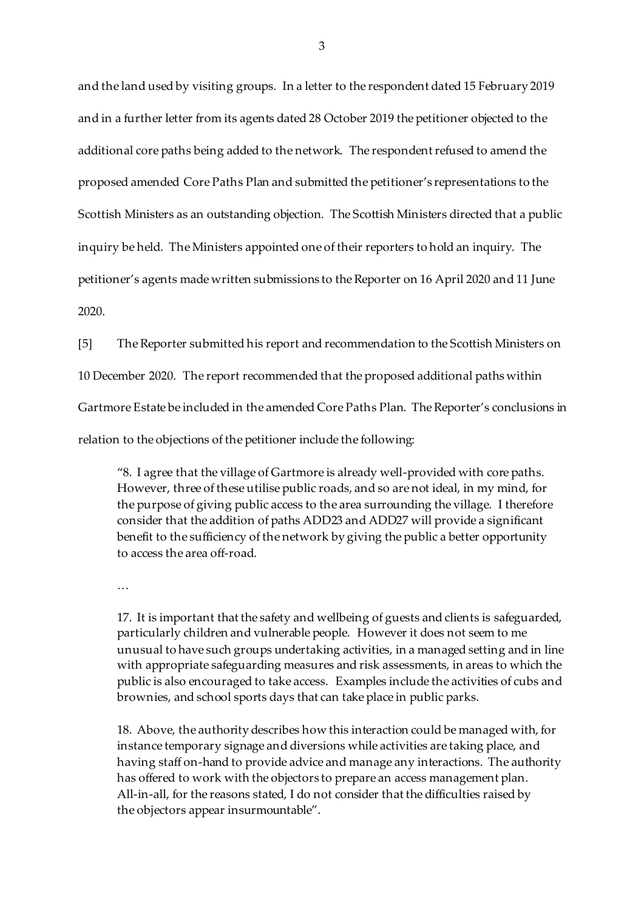and the land used by visiting groups. In a letter to the respondent dated 15 February 2019 and in a further letter from its agents dated 28 October 2019 the petitioner objected to the additional core paths being added to the network. The respondent refused to amend the proposed amended Core Paths Plan and submitted the petitioner's representations to the Scottish Ministers as an outstanding objection. The Scottish Ministers directed that a public inquiry be held. The Ministers appointed one of their reporters to hold an inquiry. The petitioner's agents made written submissions to the Reporter on 16 April 2020 and 11 June 2020.

[5] The Reporter submitted his report and recommendation to the Scottish Ministers on 10 December 2020. The report recommended that the proposed additional paths within Gartmore Estate be included in the amended Core Paths Plan. The Reporter's conclusions in relation to the objections of the petitioner include the following:

"8. I agree that the village of Gartmore is already well-provided with core paths. However, three of these utilise public roads, and so are not ideal, in my mind, for the purpose of giving public access to the area surrounding the village. I therefore consider that the addition of paths ADD23 and ADD27 will provide a significant benefit to the sufficiency of the network by giving the public a better opportunity to access the area off-road.

…

17. It is important that the safety and wellbeing of guests and clients is safeguarded, particularly children and vulnerable people. However it does not seem to me unusual to have such groups undertaking activities, in a managed setting and in line with appropriate safeguarding measures and risk assessments, in areas to which the public is also encouraged to take access. Examples include the activities of cubs and brownies, and school sports days that can take place in public parks.

18. Above, the authority describes how this interaction could be managed with, for instance temporary signage and diversions while activities are taking place, and having staff on-hand to provide advice and manage any interactions. The authority has offered to work with the objectors to prepare an access management plan. All-in-all, for the reasons stated, I do not consider that the difficulties raised by the objectors appear insurmountable".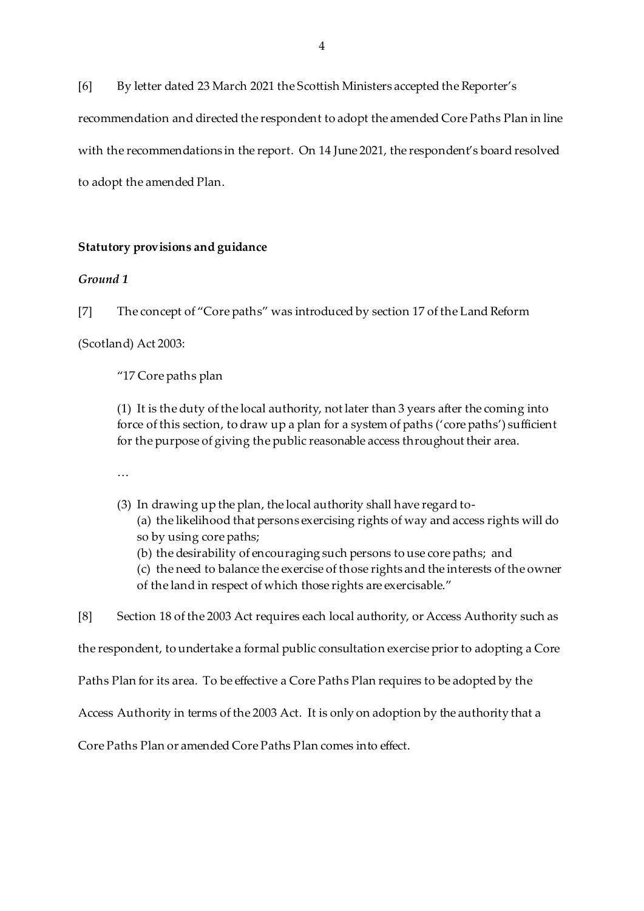[6] By letter dated 23 March 2021 the Scottish Ministers accepted the Reporter's recommendation and directed the respondent to adopt the amended Core Paths Plan in line with the recommendations in the report. On 14 June 2021, the respondent's board resolved to adopt the amended Plan.

## **Statutory provisions and guidance**

# *Ground 1*

[7] The concept of "Core paths" was introduced by section 17 of the Land Reform

(Scotland) Act 2003:

"17 Core paths plan

(1) It is the duty of the local authority, not later than 3 years after the coming into force of this section, to draw up a plan for a system of paths ('core paths') sufficient for the purpose of giving the public reasonable access throughout their area.

…

- (3) In drawing up the plan, the local authority shall have regard to-
	- (a) the likelihood that persons exercising rights of way and access rights will do so by using core paths;
	- (b) the desirability of encouraging such persons to use core paths; and
	- (c) the need to balance the exercise of those rights and the interests of the owner of the land in respect of which those rights are exercisable."
- [8] Section 18 of the 2003 Act requires each local authority, or Access Authority such as

the respondent, to undertake a formal public consultation exercise prior to adopting a Core

Paths Plan for its area. To be effective a Core Paths Plan requires to be adopted by the

Access Authority in terms of the 2003 Act. It is only on adoption by the authority that a

Core Paths Plan or amended Core Paths Plan comes into effect.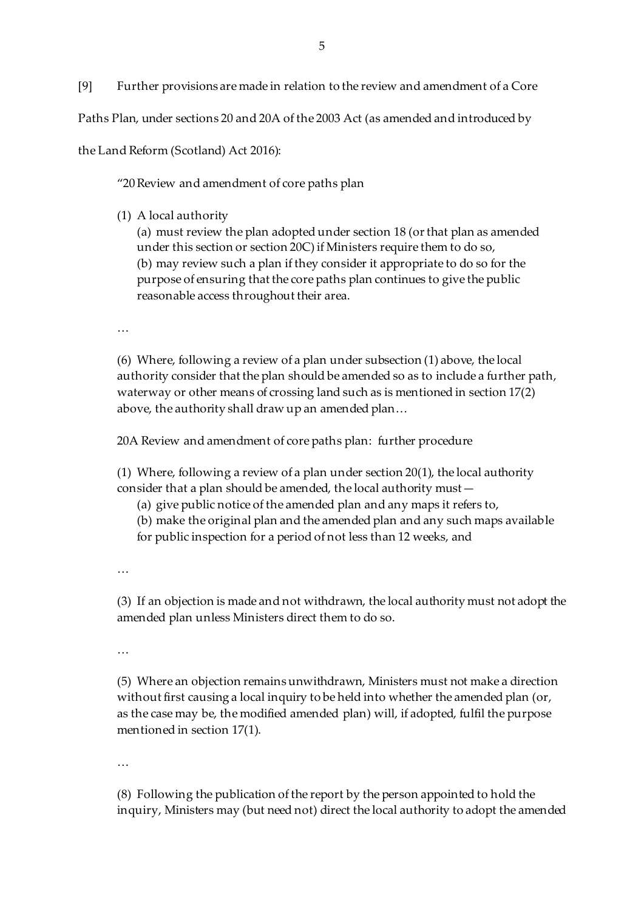[9] Further provisions are made in relation to the review and amendment of a Core

Paths Plan, under sections 20 and 20A of the 2003 Act (as amended and introduced by

the Land Reform (Scotland) Act 2016):

"20Review and amendment of core paths plan

(1) A local authority

(a) must review the plan adopted under section 18 (or that plan as amended under this section or section 20C) if Ministers require them to do so, (b) may review such a plan if they consider it appropriate to do so for the purpose of ensuring that the core paths plan continues to give the public reasonable access throughout their area.

…

(6) Where, following a review of a plan under subsection (1) above, the local authority consider that the plan should be amended so as to include a further path, waterway or other means of crossing land such as is mentioned in section 17(2) above, the authority shall draw up an amended plan…

20A Review and amendment of core paths plan: further procedure

(1) Where, following a review of a plan under section 20(1), the local authority consider that a plan should be amended, the local authority must—

- (a) give public notice of the amended plan and any maps it refers to,
- (b) make the original plan and the amended plan and any such maps available
- for public inspection for a period of not less than 12 weeks, and

…

(3) If an objection is made and not withdrawn, the local authority must not adopt the amended plan unless Ministers direct them to do so.

…

(5) Where an objection remains unwithdrawn, Ministers must not make a direction without first causing a local inquiry to be held into whether the amended plan (or, as the case may be, the modified amended plan) will, if adopted, fulfil the purpose mentioned in section 17(1).

…

(8) Following the publication of the report by the person appointed to hold the inquiry, Ministers may (but need not) direct the local authority to adopt the amended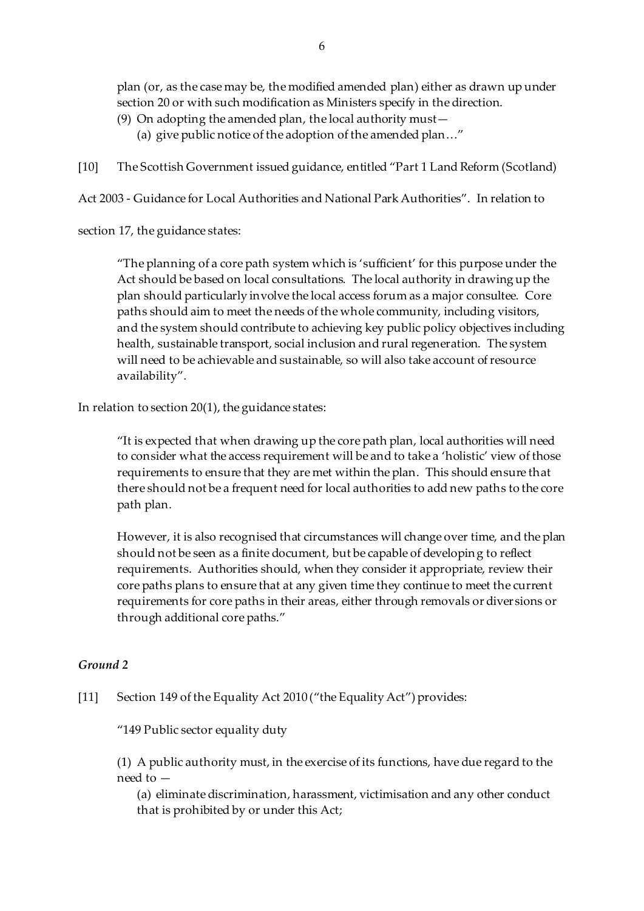plan (or, as the case may be, the modified amended plan) either as drawn up under section 20 or with such modification as Ministers specify in the direction.

- (9) On adopting the amended plan, the local authority must—
	- (a) give public notice of the adoption of the amended plan…"

[10] The Scottish Government issued guidance, entitled "Part 1 Land Reform (Scotland)

Act 2003 - Guidance for Local Authorities and National Park Authorities". In relation to

section 17, the guidance states:

"The planning of a core path system which is 'sufficient' for this purpose under the Act should be based on local consultations. The local authority in drawing up the plan should particularly involve the local access forum as a major consultee. Core paths should aim to meet the needs of the whole community, including visitors, and the system should contribute to achieving key public policy objectives including health, sustainable transport, social inclusion and rural regeneration. The system will need to be achievable and sustainable, so will also take account of resource availability".

In relation to section 20(1), the guidance states:

"It is expected that when drawing up the core path plan, local authorities will need to consider what the access requirement will be and to take a 'holistic' view of those requirements to ensure that they are met within the plan. This should ensure that there should not be a frequent need for local authorities to add new paths to the core path plan.

However, it is also recognised that circumstances will change over time, and the plan should not be seen as a finite document, but be capable of developing to reflect requirements. Authorities should, when they consider it appropriate, review their core paths plans to ensure that at any given time they continue to meet the current requirements for core paths in their areas, either through removals or diversions or through additional core paths."

# *Ground 2*

# [11] Section 149 of the Equality Act 2010 ("the Equality Act") provides:

"149 Public sector equality duty

(1) A public authority must, in the exercise of its functions, have due regard to the need to —

(a) eliminate discrimination, harassment, victimisation and any other conduct that is prohibited by or under this Act;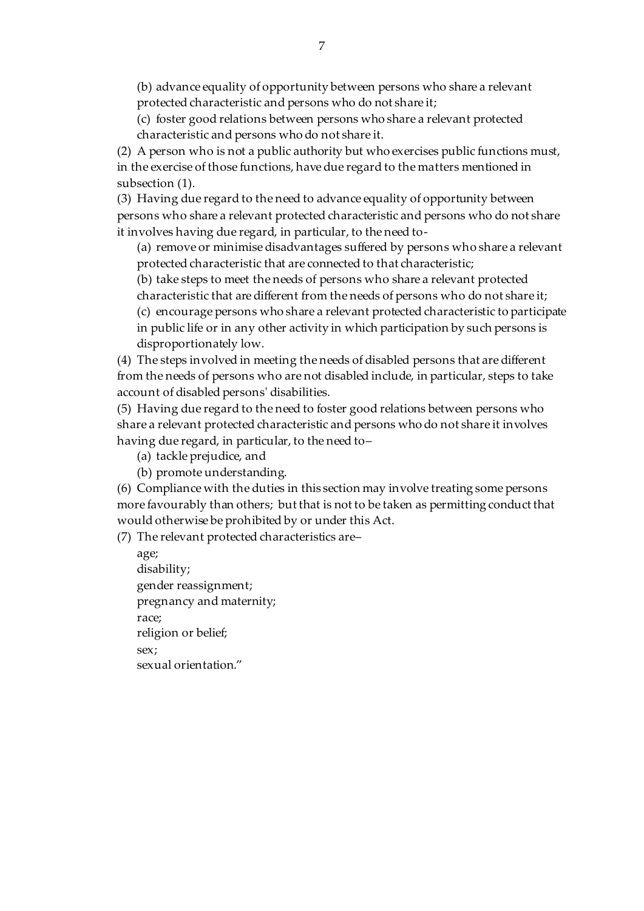(b) advance equality of opportunity between persons who share a relevant protected characteristic and persons who do not share it;

(c) foster good relations between persons who share a relevant protected characteristic and persons who do not share it.

(2) A person who is not a public authority but who exercises public functions must, in the exercise of those functions, have due regard to the matters mentioned in subsection (1).

(3) Having due regard to the need to advance equality of opportunity between persons who share a relevant protected characteristic and persons who do not share it involves having due regard, in particular, to the need to-

(a) remove or minimise disadvantages suffered by persons who share a relevant protected characteristic that are connected to that characteristic;

(b) take steps to meet the needs of persons who share a relevant protected

characteristic that are different from the needs of persons who do not share it;

(c) encourage persons who share a relevant protected characteristic to participate in public life or in any other activity in which participation by such persons is disproportionately low.

(4) The steps involved in meeting the needs of disabled persons that are different from the needs of persons who are not disabled include, in particular, steps to take account of disabled persons' disabilities.

(5) Having due regard to the need to foster good relations between persons who share a relevant protected characteristic and persons who do not share it involves having due regard, in particular, to the need to–

(a) tackle prejudice, and

(b) promote understanding.

(6) Compliance with the duties in this section may involve treating some persons more favourably than others; but that is not to be taken as permitting conduct that would otherwise be prohibited by or under this Act.

(7) The relevant protected characteristics are–

age; disability; gender reassignment; pregnancy and maternity; race; religion or belief; sex; sexual orientation."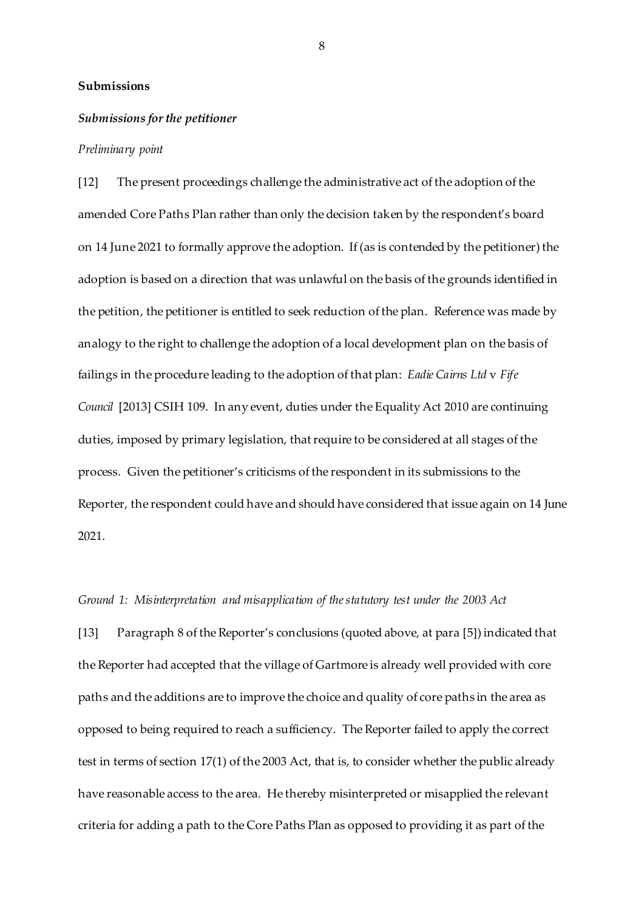### **Submissions**

#### *Submissions for the petitioner*

#### *Preliminary point*

[12] The present proceedings challenge the administrative act of the adoption of the amended Core Paths Plan rather than only the decision taken by the respondent's board on 14 June 2021 to formally approve the adoption. If (as is contended by the petitioner) the adoption is based on a direction that was unlawful on the basis of the grounds identified in the petition, the petitioner is entitled to seek reduction of the plan. Reference was made by analogy to the right to challenge the adoption of a local development plan on the basis of failings in the procedure leading to the adoption of that plan: *Eadie Cairns Ltd* v *Fife Council* [2013] CSIH 109. In any event, duties under the Equality Act 2010 are continuing duties, imposed by primary legislation, that require to be considered at all stages of the process. Given the petitioner's criticisms of the respondent in its submissions to the Reporter, the respondent could have and should have considered that issue again on 14 June 2021.

### *Ground 1: Misinterpretation and misapplication of the statutory test under the 2003 Act*

[13] Paragraph 8 of the Reporter's conclusions (quoted above, at para [5]) indicated that the Reporter had accepted that the village of Gartmore is already well provided with core paths and the additions are to improve the choice and quality of core paths in the area as opposed to being required to reach a sufficiency. The Reporter failed to apply the correct test in terms of section 17(1) of the 2003 Act, that is, to consider whether the public already have reasonable access to the area. He thereby misinterpreted or misapplied the relevant criteria for adding a path to the Core Paths Plan as opposed to providing it as part of the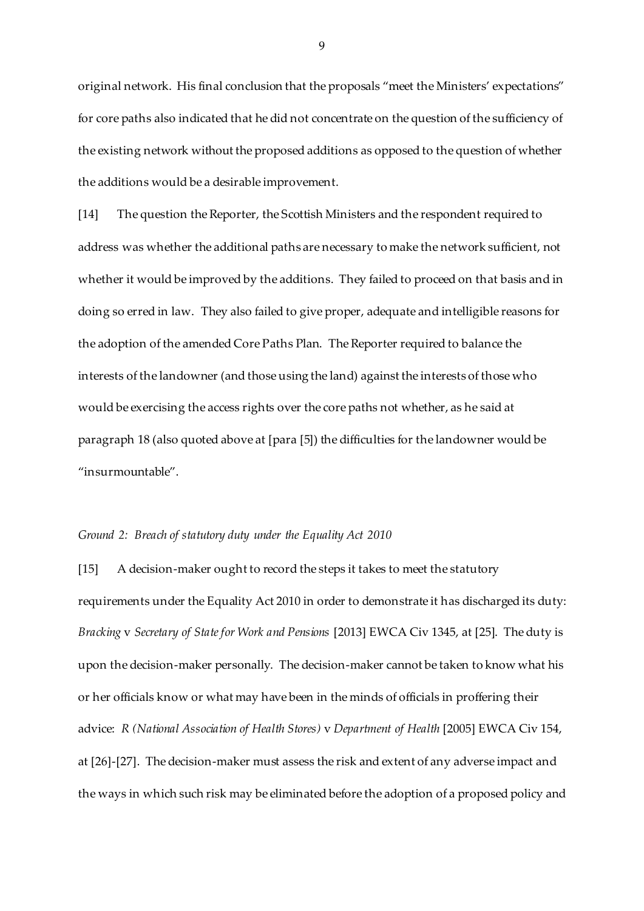original network. His final conclusion that the proposals "meet the Ministers' expectations" for core paths also indicated that he did not concentrate on the question of the sufficiency of the existing network without the proposed additions as opposed to the question of whether the additions would be a desirable improvement.

[14] The question the Reporter, the Scottish Ministers and the respondent required to address was whether the additional paths are necessary to make the network sufficient, not whether it would be improved by the additions. They failed to proceed on that basis and in doing so erred in law. They also failed to give proper, adequate and intelligible reasons for the adoption of the amended Core Paths Plan. The Reporter required to balance the interests of the landowner (and those using the land) against the interests of those who would be exercising the access rights over the core paths not whether, as he said at paragraph 18 (also quoted above at [para [5]) the difficulties for the landowner would be "insurmountable".

#### *Ground 2: Breach of statutory duty under the Equality Act 2010*

[15] A decision-maker ought to record the steps it takes to meet the statutory requirements under the Equality Act 2010 in order to demonstrate it has discharged its duty: *Bracking* v *Secretary of State for Work and Pensions* [2013] EWCA Civ 1345, at [25]. The duty is upon the decision-maker personally. The decision-maker cannot be taken to know what his or her officials know or what may have been in the minds of officials in proffering their advice: *R (National Association of Health Stores)* v *Department of Health* [2005] EWCA Civ 154, at [26]-[27]. The decision-maker must assess the risk and extent of any adverse impact and the ways in which such risk may be eliminated before the adoption of a proposed policy and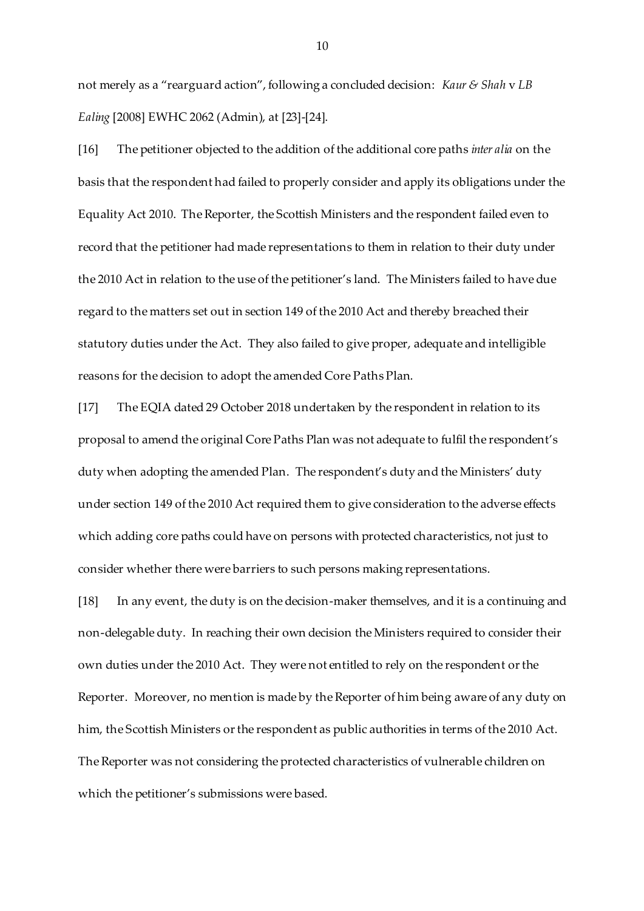not merely as a "rearguard action", following a concluded decision: *Kaur & Shah* v *LB Ealing* [2008] EWHC 2062 (Admin), at [23]-[24].

[16] The petitioner objected to the addition of the additional core paths *inter alia* on the basis that the respondent had failed to properly consider and apply its obligations under the Equality Act 2010. The Reporter, the Scottish Ministers and the respondent failed even to record that the petitioner had made representations to them in relation to their duty under the 2010 Act in relation to the use of the petitioner's land. The Ministers failed to have due regard to the matters set out in section 149 of the 2010 Act and thereby breached their statutory duties under the Act. They also failed to give proper, adequate and intelligible reasons for the decision to adopt the amended Core Paths Plan.

[17] The EQIA dated 29 October 2018 undertaken by the respondent in relation to its proposal to amend the original Core Paths Plan was not adequate to fulfil the respondent's duty when adopting the amended Plan. The respondent's duty and the Ministers' duty under section 149 of the 2010 Act required them to give consideration to the adverse effects which adding core paths could have on persons with protected characteristics, not just to consider whether there were barriers to such persons making representations.

[18] In any event, the duty is on the decision-maker themselves, and it is a continuing and non-delegable duty. In reaching their own decision the Ministers required to consider their own duties under the 2010 Act. They were not entitled to rely on the respondent or the Reporter. Moreover, no mention is made by the Reporter of him being aware of any duty on him, the Scottish Ministers or the respondent as public authorities in terms of the 2010 Act. The Reporter was not considering the protected characteristics of vulnerable children on which the petitioner's submissions were based.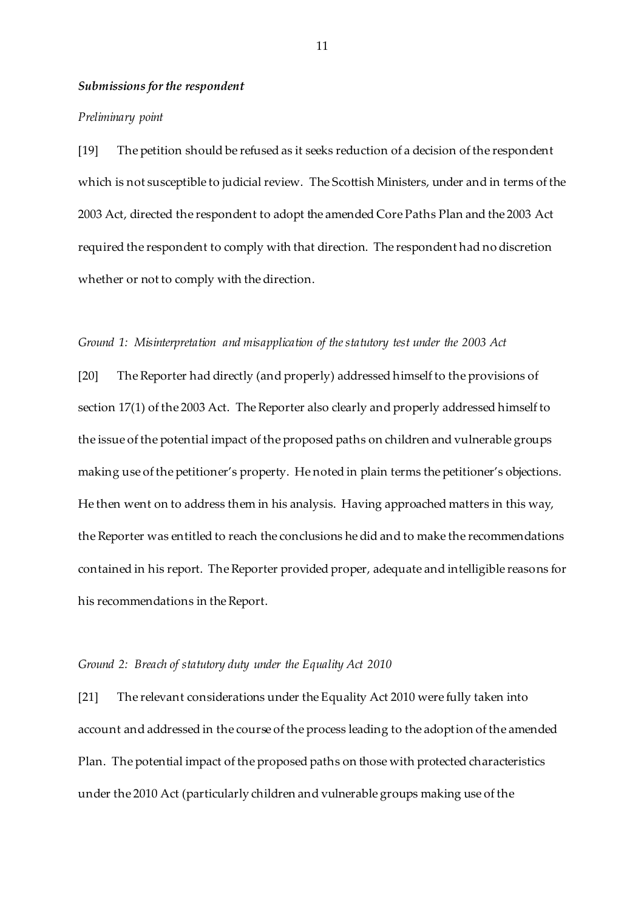### *Submissions for the respondent*

#### *Preliminary point*

[19] The petition should be refused as it seeks reduction of a decision of the respondent which is not susceptible to judicial review. The Scottish Ministers, under and in terms of the 2003 Act, directed the respondent to adopt the amended Core Paths Plan and the 2003 Act required the respondent to comply with that direction. The respondent had no discretion whether or not to comply with the direction.

### *Ground 1: Misinterpretation and misapplication of the statutory test under the 2003 Act*

[20] The Reporter had directly (and properly) addressed himself to the provisions of section 17(1) of the 2003 Act. The Reporter also clearly and properly addressed himself to the issue of the potential impact of the proposed paths on children and vulnerable groups making use of the petitioner's property. He noted in plain terms the petitioner's objections. He then went on to address them in his analysis. Having approached matters in this way, the Reporter was entitled to reach the conclusions he did and to make the recommendations contained in his report. The Reporter provided proper, adequate and intelligible reasons for his recommendations in the Report.

### *Ground 2: Breach of statutory duty under the Equality Act 2010*

[21] The relevant considerations under the Equality Act 2010 were fully taken into account and addressed in the course of the process leading to the adoption of the amended Plan. The potential impact of the proposed paths on those with protected characteristics under the 2010 Act (particularly children and vulnerable groups making use of the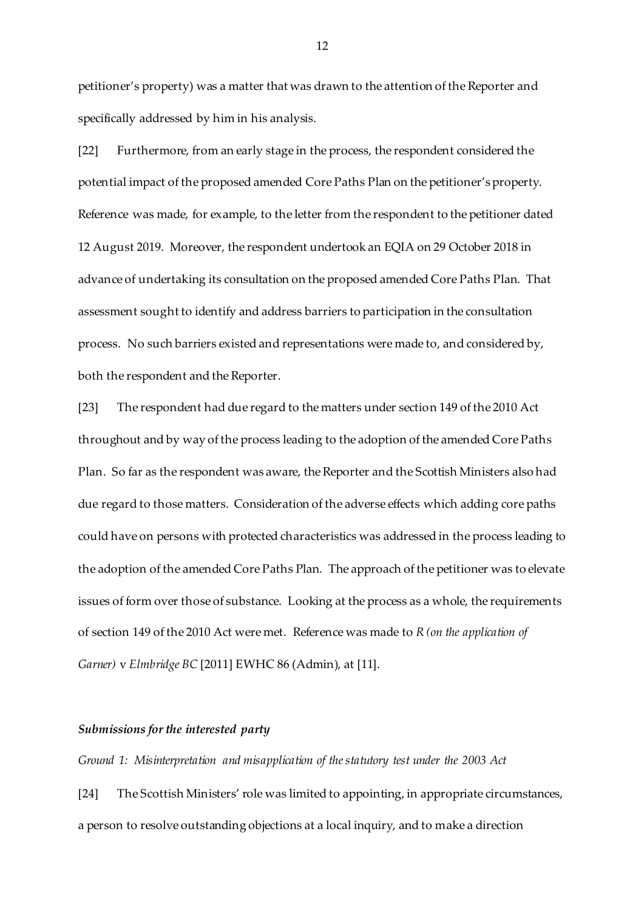petitioner's property) was a matter that was drawn to the attention of the Reporter and specifically addressed by him in his analysis.

[22] Furthermore, from an early stage in the process, the respondent considered the potential impact of the proposed amended Core Paths Plan on the petitioner's property. Reference was made, for example, to the letter from the respondent to the petitioner dated 12 August 2019. Moreover, the respondent undertook an EQIA on 29 October 2018 in advance of undertaking its consultation on the proposed amended Core Paths Plan. That assessment sought to identify and address barriers to participation in the consultation process. No such barriers existed and representations were made to, and considered by, both the respondent and the Reporter.

[23] The respondent had due regard to the matters under section 149 of the 2010 Act throughout and by way of the process leading to the adoption of the amended Core Paths Plan. So far as the respondent was aware, the Reporter and the Scottish Ministers also had due regard to those matters. Consideration of the adverse effects which adding core paths could have on persons with protected characteristics was addressed in the process leading to the adoption of the amended Core Paths Plan. The approach of the petitioner was to elevate issues of form over those of substance. Looking at the process as a whole, the requirements of section 149 of the 2010 Act were met. Reference was made to *R (on the application of Garner)* v *Elmbridge BC* [2011] EWHC 86 (Admin), at [11].

## *Submissions for the interested party*

*Ground 1: Misinterpretation and misapplication of the statutory test under the 2003 Act*

[24] The Scottish Ministers' role was limited to appointing, in appropriate circumstances, a person to resolve outstanding objections at a local inquiry, and to make a direction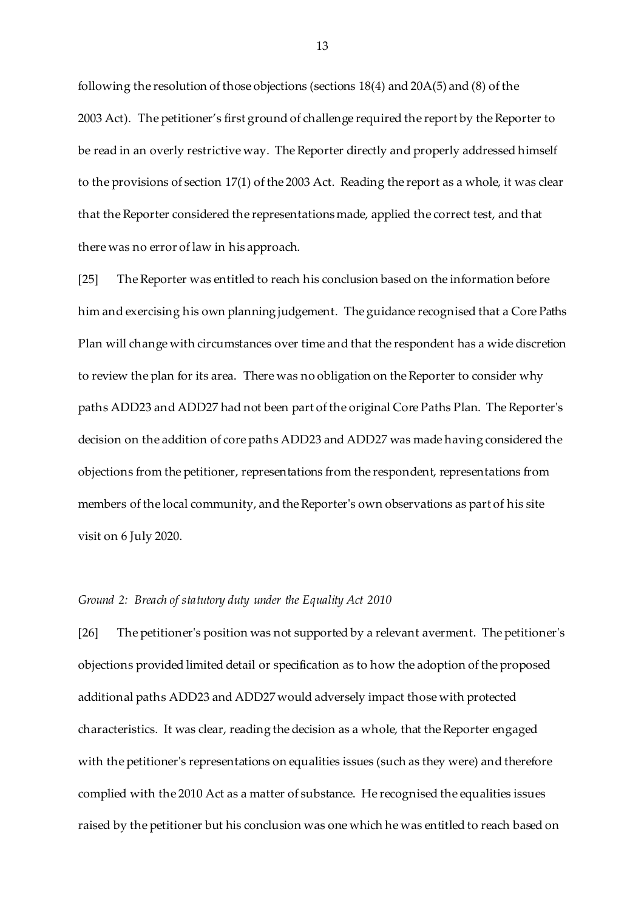following the resolution of those objections (sections 18(4) and 20A(5) and (8) of the 2003 Act). The petitioner's first ground of challenge required the report by the Reporter to be read in an overly restrictive way. The Reporter directly and properly addressed himself to the provisions of section 17(1) of the 2003 Act. Reading the report as a whole, it was clear that the Reporter considered the representations made, applied the correct test, and that there was no error of law in his approach.

[25] The Reporter was entitled to reach his conclusion based on the information before him and exercising his own planning judgement. The guidance recognised that a Core Paths Plan will change with circumstances over time and that the respondent has a wide discretion to review the plan for its area. There was no obligation on the Reporter to consider why paths ADD23 and ADD27 had not been part of the original Core Paths Plan. The Reporter's decision on the addition of core paths ADD23 and ADD27 was made having considered the objections from the petitioner, representations from the respondent, representations from members of the local community, and the Reporter's own observations as part of his site visit on 6 July 2020.

### *Ground 2: Breach of statutory duty under the Equality Act 2010*

[26] The petitioner's position was not supported by a relevant averment. The petitioner's objections provided limited detail or specification as to how the adoption of the proposed additional paths ADD23 and ADD27 would adversely impact those with protected characteristics. It was clear, reading the decision as a whole, that the Reporter engaged with the petitioner's representations on equalities issues (such as they were) and therefore complied with the 2010 Act as a matter of substance. He recognised the equalities issues raised by the petitioner but his conclusion was one which he was entitled to reach based on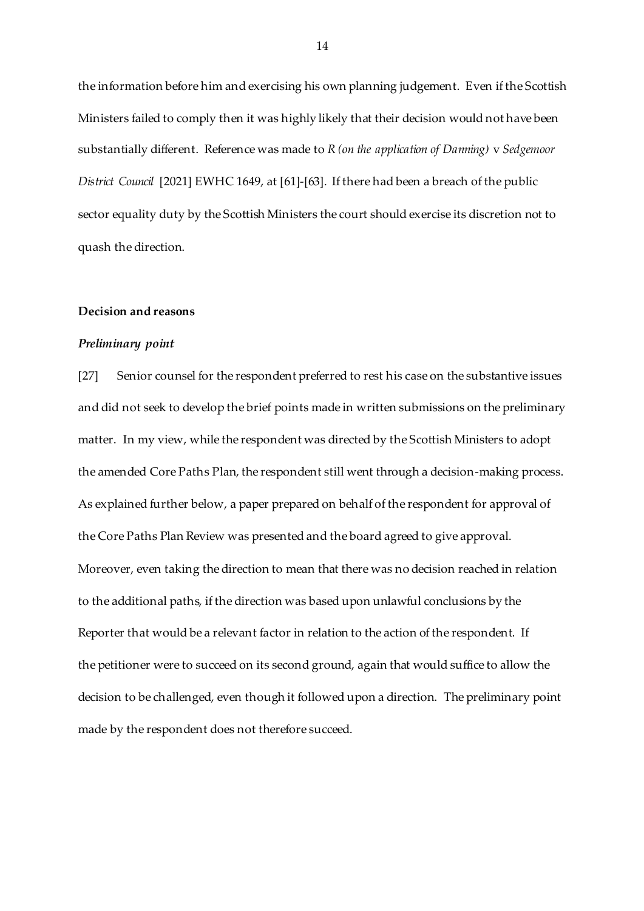the information before him and exercising his own planning judgement. Even if the Scottish Ministers failed to comply then it was highly likely that their decision would not have been substantially different. Reference was made to *R (on the application of Danning)* v *Sedgemoor District Council* [2021] EWHC 1649, at [61]-[63]. If there had been a breach of the public sector equality duty by the Scottish Ministers the court should exercise its discretion not to quash the direction.

### **Decision and reasons**

### *Preliminary point*

[27] Senior counsel for the respondent preferred to rest his case on the substantive issues and did not seek to develop the brief points made in written submissions on the preliminary matter. In my view, while the respondent was directed by the Scottish Ministers to adopt the amended Core Paths Plan, the respondent still went through a decision-making process. As explained further below, a paper prepared on behalf of the respondent for approval of the Core Paths Plan Review was presented and the board agreed to give approval. Moreover, even taking the direction to mean that there was no decision reached in relation to the additional paths, if the direction was based upon unlawful conclusions by the Reporter that would be a relevant factor in relation to the action of the respondent. If the petitioner were to succeed on its second ground, again that would suffice to allow the decision to be challenged, even though it followed upon a direction. The preliminary point made by the respondent does not therefore succeed.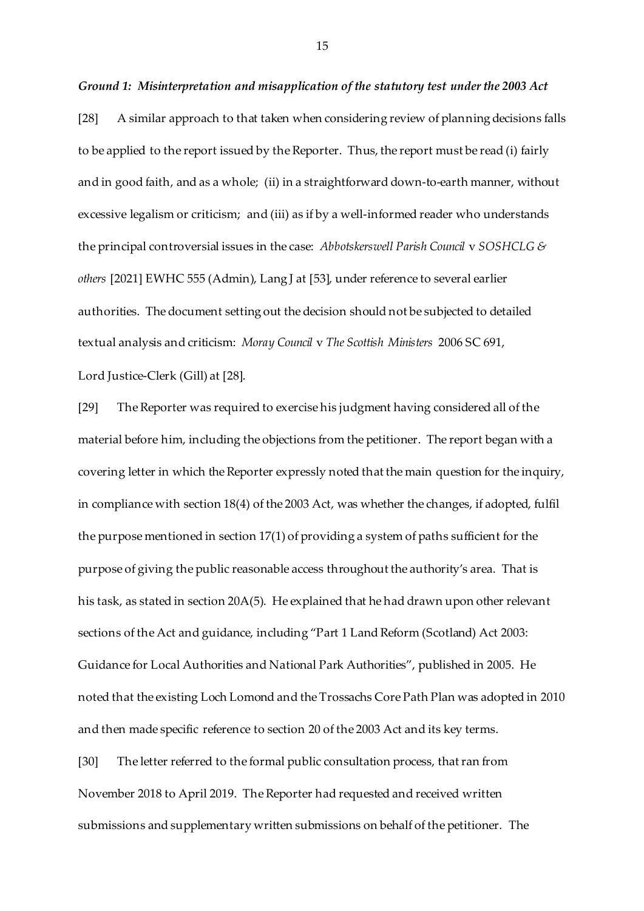#### *Ground 1: Misinterpretation and misapplication of the statutory test under the 2003 Act*

[28] A similar approach to that taken when considering review of planning decisions falls to be applied to the report issued by the Reporter. Thus, the report must be read (i) fairly and in good faith, and as a whole; (ii) in a straightforward down-to-earth manner, without excessive legalism or criticism; and (iii) as if by a well-informed reader who understands the principal controversial issues in the case: *Abbotskerswell Parish Council* v *SOSHCLG & others* [2021] EWHC 555 (Admin), Lang J at [53], under reference to several earlier authorities. The document setting out the decision should not be subjected to detailed textual analysis and criticism: *Moray Council* v *The Scottish Ministers* 2006 SC 691, Lord Justice-Clerk (Gill) at [28].

[29] The Reporter was required to exercise his judgment having considered all of the material before him, including the objections from the petitioner. The report began with a covering letter in which the Reporter expressly noted that the main question for the inquiry, in compliance with section 18(4) of the 2003 Act, was whether the changes, if adopted, fulfil the purpose mentioned in section 17(1) of providing a system of paths sufficient for the purpose of giving the public reasonable access throughout the authority's area. That is his task, as stated in section 20A(5). He explained that he had drawn upon other relevant sections of the Act and guidance, including "Part 1 Land Reform (Scotland) Act 2003: Guidance for Local Authorities and National Park Authorities", published in 2005. He noted that the existing Loch Lomond and the Trossachs Core Path Plan was adopted in 2010 and then made specific reference to section 20 of the 2003 Act and its key terms.

[30] The letter referred to the formal public consultation process, that ran from November 2018 to April 2019. The Reporter had requested and received written submissions and supplementary written submissions on behalf of the petitioner. The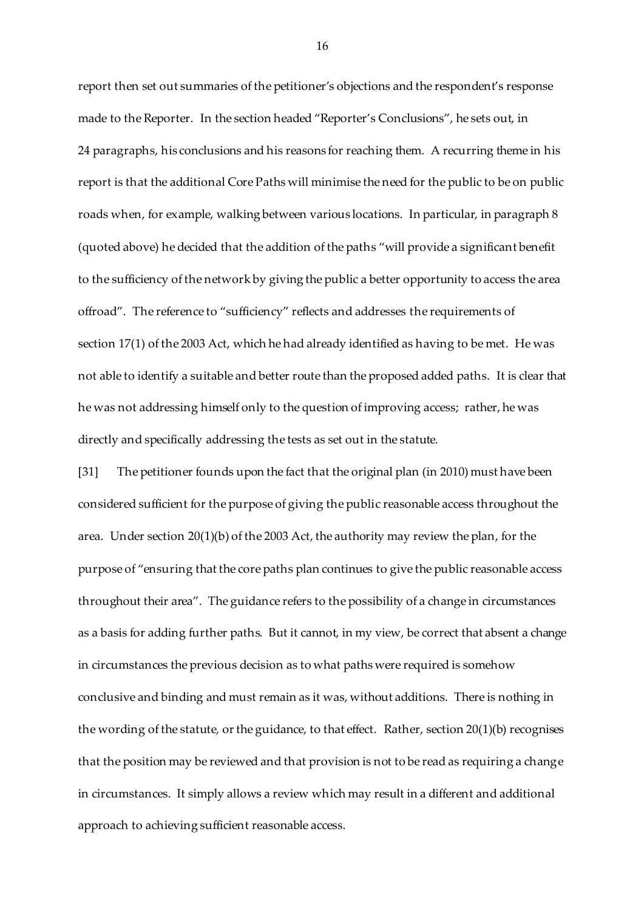report then set out summaries of the petitioner's objections and the respondent's response made to the Reporter. In the section headed "Reporter's Conclusions", he sets out, in 24 paragraphs, his conclusions and his reasons for reaching them. A recurring theme in his report is that the additional Core Paths will minimise the need for the public to be on public roads when, for example, walking between various locations. In particular, in paragraph 8 (quoted above) he decided that the addition of the paths "will provide a significant benefit to the sufficiency of the network by giving the public a better opportunity to access the area offroad". The reference to "sufficiency" reflects and addresses the requirements of section 17(1) of the 2003 Act, which he had already identified as having to be met. He was not able to identify a suitable and better route than the proposed added paths. It is clear that he was not addressing himself only to the question of improving access; rather, he was directly and specifically addressing the tests as set out in the statute.

[31] The petitioner founds upon the fact that the original plan (in 2010) must have been considered sufficient for the purpose of giving the public reasonable access throughout the area. Under section 20(1)(b) of the 2003 Act, the authority may review the plan, for the purpose of "ensuring that the core paths plan continues to give the public reasonable access throughout their area". The guidance refers to the possibility of a change in circumstances as a basis for adding further paths. But it cannot, in my view, be correct that absent a change in circumstances the previous decision as to what paths were required is somehow conclusive and binding and must remain as it was, without additions. There is nothing in the wording of the statute, or the guidance, to that effect. Rather, section 20(1)(b) recognises that the position may be reviewed and that provision is not to be read as requiring a change in circumstances. It simply allows a review which may result in a different and additional approach to achieving sufficient reasonable access.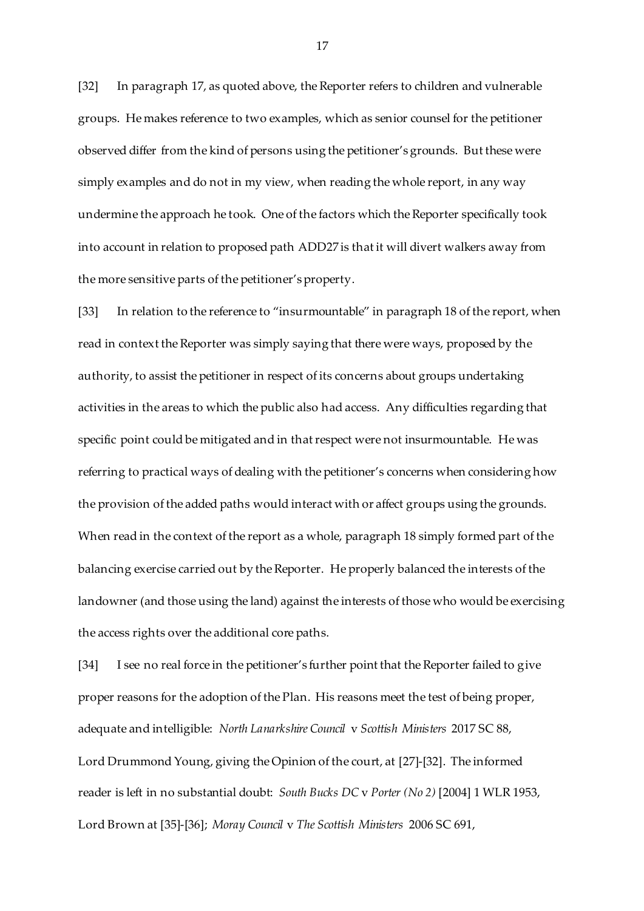[32] In paragraph 17, as quoted above, the Reporter refers to children and vulnerable groups. He makes reference to two examples, which as senior counsel for the petitioner observed differ from the kind of persons using the petitioner's grounds. But these were simply examples and do not in my view, when reading the whole report, in any way undermine the approach he took. One of the factors which the Reporter specifically took into account in relation to proposed path ADD27 is that it will divert walkers away from the more sensitive parts of the petitioner's property.

[33] In relation to the reference to "insurmountable" in paragraph 18 of the report, when read in context the Reporter was simply saying that there were ways, proposed by the authority, to assist the petitioner in respect of its concerns about groups undertaking activities in the areas to which the public also had access. Any difficulties regarding that specific point could be mitigated and in that respect were not insurmountable. He was referring to practical ways of dealing with the petitioner's concerns when considering how the provision of the added paths would interact with or affect groups using the grounds. When read in the context of the report as a whole, paragraph 18 simply formed part of the balancing exercise carried out by the Reporter. He properly balanced the interests of the landowner (and those using the land) against the interests of those who would be exercising the access rights over the additional core paths.

[34] I see no real force in the petitioner's further point that the Reporter failed to give proper reasons for the adoption of the Plan. His reasons meet the test of being proper, adequate and intelligible: *North Lanarkshire Council* v *Scottish Ministers* 2017 SC 88, Lord Drummond Young, giving the Opinion of the court, at [27]-[32]. The informed reader is left in no substantial doubt: *South Bucks DC* v *Porter (No 2)* [2004] 1 WLR 1953, Lord Brown at [35]-[36]; *Moray Council* v *The Scottish Ministers* 2006 SC 691,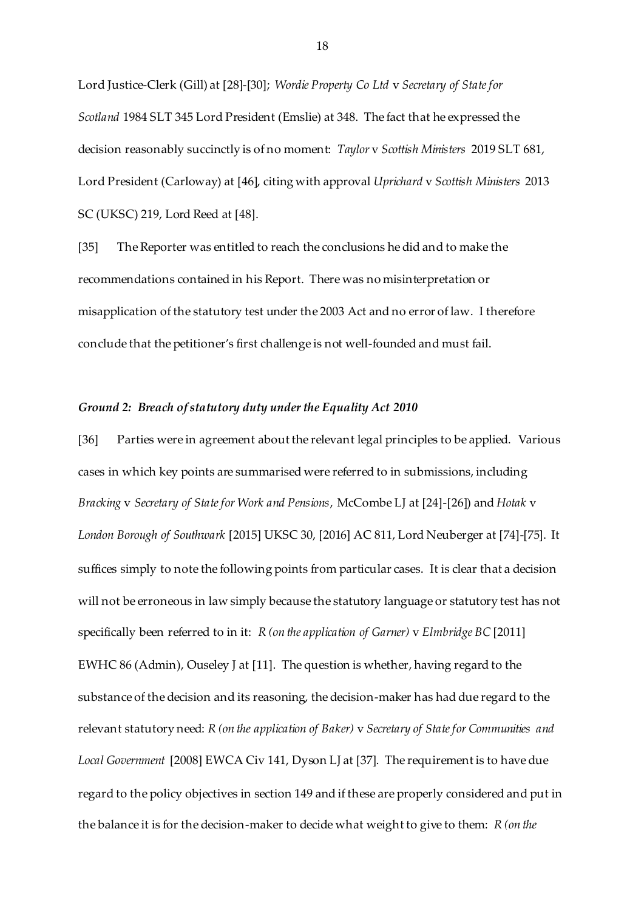Lord Justice-Clerk (Gill) at [28]-[30]; *Wordie Property Co Ltd* v *Secretary of State for Scotland* 1984 SLT 345 Lord President (Emslie) at 348. The fact that he expressed the decision reasonably succinctly is of no moment: *Taylor* v *Scottish Ministers* 2019 SLT 681, Lord President (Carloway) at [46], citing with approval *Uprichard* v *Scottish Ministers* 2013 SC (UKSC) 219, Lord Reed at [48].

[35] The Reporter was entitled to reach the conclusions he did and to make the recommendations contained in his Report. There was no misinterpretation or misapplication of the statutory test under the 2003 Act and no error of law. I therefore conclude that the petitioner's first challenge is not well-founded and must fail.

## *Ground 2: Breach of statutory duty under the Equality Act 2010*

[36] Parties were in agreement about the relevant legal principles to be applied. Various cases in which key points are summarised were referred to in submissions, including *Bracking* v *Secretary of State for Work and Pensions*, McCombe LJ at [24]-[26]) and *Hotak* v *London Borough of Southwark* [2015] UKSC 30, [2016] AC 811, Lord Neuberger at [74]-[75]. It suffices simply to note the following points from particular cases. It is clear that a decision will not be erroneous in law simply because the statutory language or statutory test has not specifically been referred to in it: *R (on the application of Garner)* v *Elmbridge BC* [2011] EWHC 86 (Admin), Ouseley J at [11]. The question is whether, having regard to the substance of the decision and its reasoning, the decision-maker has had due regard to the relevant statutory need: *R (on the application of Baker)* v *Secretary of State for Communities and Local Government* [2008] EWCA Civ 141, Dyson LJ at [37]. The requirement is to have due regard to the policy objectives in section 149 and if these are properly considered and put in the balance it is for the decision-maker to decide what weight to give to them: *R (on the*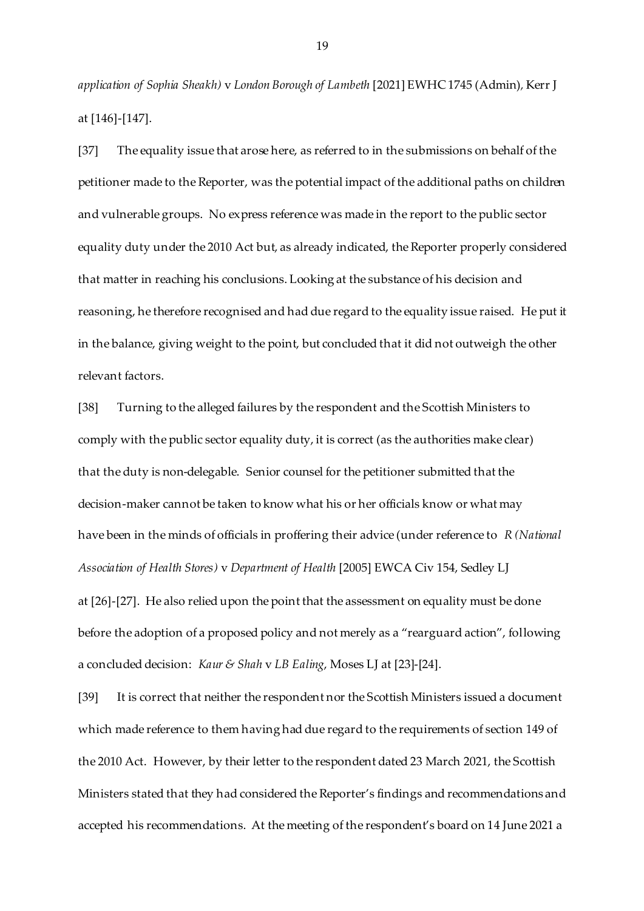*application of Sophia Sheakh)* v *London Borough of Lambeth* [2021] EWHC 1745 (Admin)*,* Kerr J at [146]-[147].

[37] The equality issue that arose here, as referred to in the submissions on behalf of the petitioner made to the Reporter, was the potential impact of the additional paths on children and vulnerable groups. No express reference was made in the report to the public sector equality duty under the 2010 Act but, as already indicated, the Reporter properly considered that matter in reaching his conclusions. Looking at the substance of his decision and reasoning, he therefore recognised and had due regard to the equality issue raised. He put it in the balance, giving weight to the point, but concluded that it did not outweigh the other relevant factors.

[38] Turning to the alleged failures by the respondent and the Scottish Ministers to comply with the public sector equality duty, it is correct (as the authorities make clear) that the duty is non-delegable. Senior counsel for the petitioner submitted that the decision-maker cannot be taken to know what his or her officials know or what may have been in the minds of officials in proffering their advice (under reference to *R (National Association of Health Stores)* v *Department of Health* [2005] EWCA Civ 154, Sedley LJ at [26]-[27]. He also relied upon the point that the assessment on equality must be done before the adoption of a proposed policy and not merely as a "rearguard action", following a concluded decision: *Kaur & Shah* v *LB Ealing*, Moses LJ at [23]-[24].

[39] It is correct that neither the respondent nor the Scottish Ministers issued a document which made reference to them having had due regard to the requirements of section 149 of the 2010 Act. However, by their letter to the respondent dated 23 March 2021, the Scottish Ministers stated that they had considered the Reporter's findings and recommendations and accepted his recommendations. At the meeting of the respondent's board on 14 June 2021 a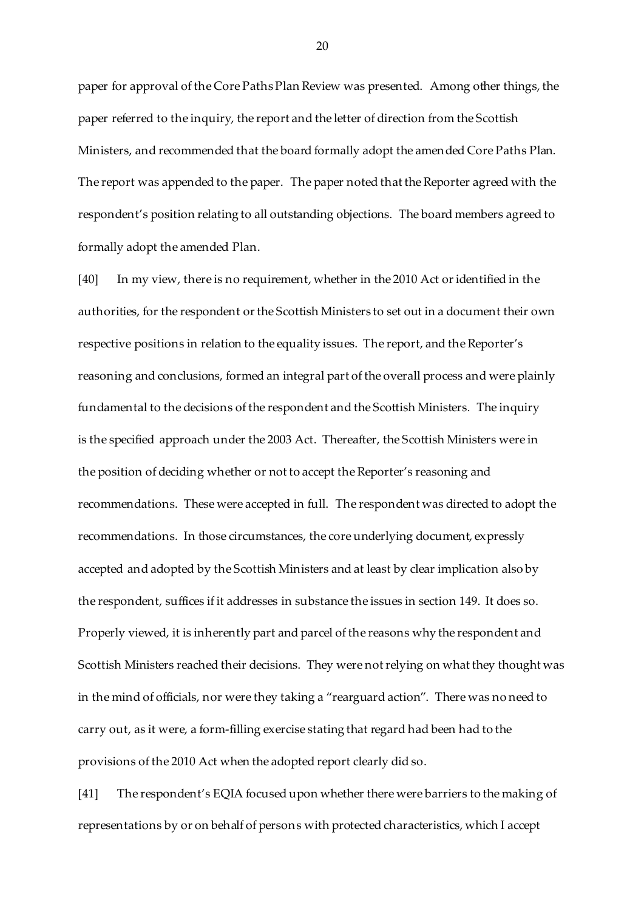paper for approval of the Core Paths Plan Review was presented. Among other things, the paper referred to the inquiry, the report and the letter of direction from the Scottish Ministers, and recommended that the board formally adopt the amended Core Paths Plan. The report was appended to the paper. The paper noted that the Reporter agreed with the respondent's position relating to all outstanding objections. The board members agreed to formally adopt the amended Plan.

[40] In my view, there is no requirement, whether in the 2010 Act or identified in the authorities, for the respondent or the Scottish Ministers to set out in a document their own respective positions in relation to the equality issues. The report, and the Reporter's reasoning and conclusions, formed an integral part of the overall process and were plainly fundamental to the decisions of the respondent and the Scottish Ministers. The inquiry is the specified approach under the 2003 Act. Thereafter, the Scottish Ministers were in the position of deciding whether or not to accept the Reporter's reasoning and recommendations. These were accepted in full. The respondent was directed to adopt the recommendations. In those circumstances, the core underlying document, expressly accepted and adopted by the Scottish Ministers and at least by clear implication also by the respondent, suffices if it addresses in substance the issues in section 149. It does so. Properly viewed, it is inherently part and parcel of the reasons why the respondent and Scottish Ministers reached their decisions. They were not relying on what they thought was in the mind of officials, nor were they taking a "rearguard action". There was no need to carry out, as it were, a form-filling exercise stating that regard had been had to the provisions of the 2010 Act when the adopted report clearly did so.

[41] The respondent's EQIA focused upon whether there were barriers to the making of representations by or on behalf of persons with protected characteristics, which I accept